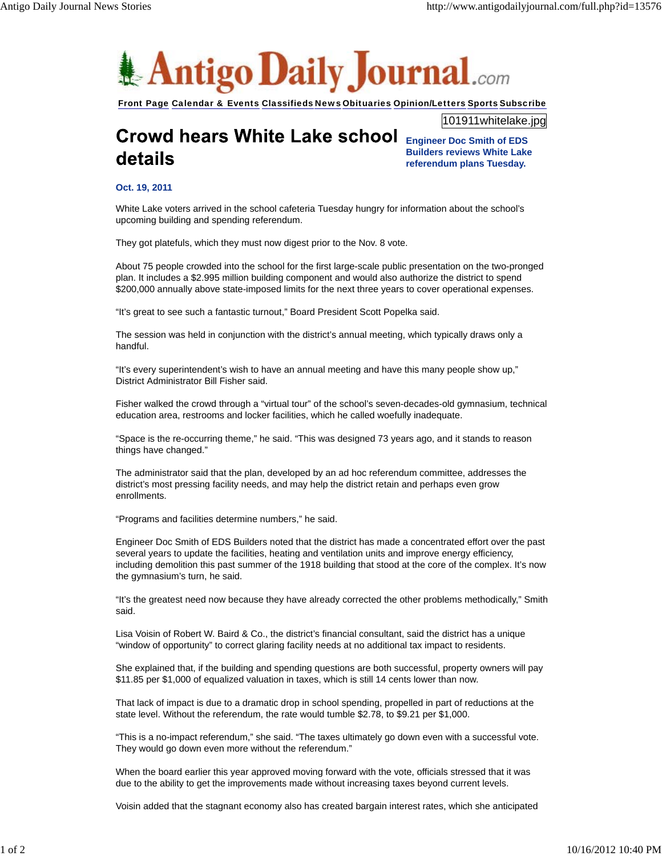

Front Page Calendar & Events Classifieds News Obituaries Opinion/Letters Sports Subscribe

101911whitelake.jpg

## **Crowd hears White Lake school** details

**Engineer Doc Smith of EDS Builders reviews White Lake referendum plans Tuesday.**

## **Oct. 19, 2011**

White Lake voters arrived in the school cafeteria Tuesday hungry for information about the school's upcoming building and spending referendum.

They got platefuls, which they must now digest prior to the Nov. 8 vote.

About 75 people crowded into the school for the first large-scale public presentation on the two-pronged plan. It includes a \$2.995 million building component and would also authorize the district to spend \$200,000 annually above state-imposed limits for the next three years to cover operational expenses.

"It's great to see such a fantastic turnout," Board President Scott Popelka said.

The session was held in conjunction with the district's annual meeting, which typically draws only a handful.

"It's every superintendent's wish to have an annual meeting and have this many people show up," District Administrator Bill Fisher said.

Fisher walked the crowd through a "virtual tour" of the school's seven-decades-old gymnasium, technical education area, restrooms and locker facilities, which he called woefully inadequate.

"Space is the re-occurring theme," he said. "This was designed 73 years ago, and it stands to reason things have changed."

The administrator said that the plan, developed by an ad hoc referendum committee, addresses the district's most pressing facility needs, and may help the district retain and perhaps even grow enrollments.

"Programs and facilities determine numbers," he said.

Engineer Doc Smith of EDS Builders noted that the district has made a concentrated effort over the past several years to update the facilities, heating and ventilation units and improve energy efficiency, including demolition this past summer of the 1918 building that stood at the core of the complex. It's now the gymnasium's turn, he said.

"It's the greatest need now because they have already corrected the other problems methodically," Smith said.

Lisa Voisin of Robert W. Baird & Co., the district's financial consultant, said the district has a unique "window of opportunity" to correct glaring facility needs at no additional tax impact to residents.

She explained that, if the building and spending questions are both successful, property owners will pay \$11.85 per \$1,000 of equalized valuation in taxes, which is still 14 cents lower than now.

That lack of impact is due to a dramatic drop in school spending, propelled in part of reductions at the state level. Without the referendum, the rate would tumble \$2.78, to \$9.21 per \$1,000.

"This is a no-impact referendum," she said. "The taxes ultimately go down even with a successful vote. They would go down even more without the referendum."

When the board earlier this year approved moving forward with the vote, officials stressed that it was due to the ability to get the improvements made without increasing taxes beyond current levels.

Voisin added that the stagnant economy also has created bargain interest rates, which she anticipated